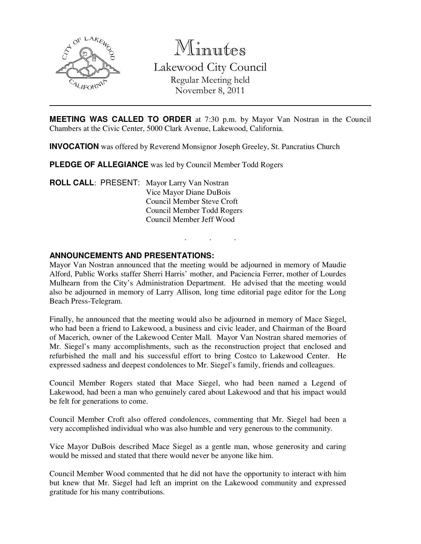

Minutes Lakewood City Council Regular Meeting held November 8, 2011

**MEETING WAS CALLED TO ORDER** at 7:30 p.m. by Mayor Van Nostran in the Council Chambers at the Civic Center, 5000 Clark Avenue, Lakewood, California.

**INVOCATION** was offered by Reverend Monsignor Joseph Greeley, St. Pancratius Church

**PLEDGE OF ALLEGIANCE** was led by Council Member Todd Rogers

**ROLL CALL**: PRESENT: Mayor Larry Van Nostran Vice Mayor Diane DuBois Council Member Steve Croft Council Member Todd Rogers Council Member Jeff Wood

### **ANNOUNCEMENTS AND PRESENTATIONS:**

Mayor Van Nostran announced that the meeting would be adjourned in memory of Maudie Alford, Public Works staffer Sherri Harris' mother, and Paciencia Ferrer, mother of Lourdes Mulhearn from the City's Administration Department. He advised that the meeting would also be adjourned in memory of Larry Allison, long time editorial page editor for the Long Beach Press-Telegram.

. . .

Finally, he announced that the meeting would also be adjourned in memory of Mace Siegel, who had been a friend to Lakewood, a business and civic leader, and Chairman of the Board of Macerich, owner of the Lakewood Center Mall. Mayor Van Nostran shared memories of Mr. Siegel's many accomplishments, such as the reconstruction project that enclosed and refurbished the mall and his successful effort to bring Costco to Lakewood Center. He expressed sadness and deepest condolences to Mr. Siegel's family, friends and colleagues.

Council Member Rogers stated that Mace Siegel, who had been named a Legend of Lakewood, had been a man who genuinely cared about Lakewood and that his impact would be felt for generations to come.

Council Member Croft also offered condolences, commenting that Mr. Siegel had been a very accomplished individual who was also humble and very generous to the community.

Vice Mayor DuBois described Mace Siegel as a gentle man, whose generosity and caring would be missed and stated that there would never be anyone like him.

Council Member Wood commented that he did not have the opportunity to interact with him but knew that Mr. Siegel had left an imprint on the Lakewood community and expressed gratitude for his many contributions.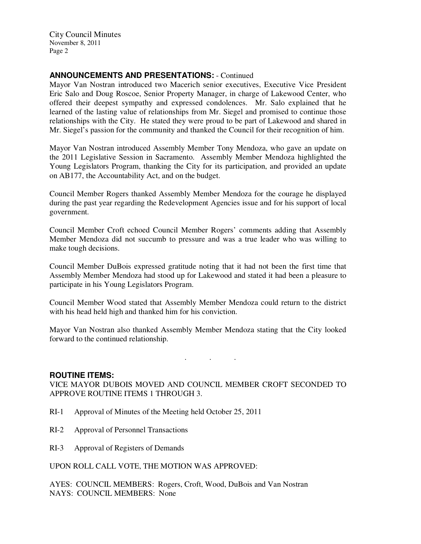City Council Minutes November 8, 2011 Page 2

# **ANNOUNCEMENTS AND PRESENTATIONS:** - Continued

Mayor Van Nostran introduced two Macerich senior executives, Executive Vice President Eric Salo and Doug Roscoe, Senior Property Manager, in charge of Lakewood Center, who offered their deepest sympathy and expressed condolences. Mr. Salo explained that he learned of the lasting value of relationships from Mr. Siegel and promised to continue those relationships with the City. He stated they were proud to be part of Lakewood and shared in Mr. Siegel's passion for the community and thanked the Council for their recognition of him.

Mayor Van Nostran introduced Assembly Member Tony Mendoza, who gave an update on the 2011 Legislative Session in Sacramento. Assembly Member Mendoza highlighted the Young Legislators Program, thanking the City for its participation, and provided an update on AB177, the Accountability Act, and on the budget.

Council Member Rogers thanked Assembly Member Mendoza for the courage he displayed during the past year regarding the Redevelopment Agencies issue and for his support of local government.

Council Member Croft echoed Council Member Rogers' comments adding that Assembly Member Mendoza did not succumb to pressure and was a true leader who was willing to make tough decisions.

Council Member DuBois expressed gratitude noting that it had not been the first time that Assembly Member Mendoza had stood up for Lakewood and stated it had been a pleasure to participate in his Young Legislators Program.

Council Member Wood stated that Assembly Member Mendoza could return to the district with his head held high and thanked him for his conviction.

Mayor Van Nostran also thanked Assembly Member Mendoza stating that the City looked forward to the continued relationship.

. . .

#### **ROUTINE ITEMS:**

VICE MAYOR DUBOIS MOVED AND COUNCIL MEMBER CROFT SECONDED TO APPROVE ROUTINE ITEMS 1 THROUGH 3.

- RI-1 Approval of Minutes of the Meeting held October 25, 2011
- RI-2 Approval of Personnel Transactions
- RI-3 Approval of Registers of Demands

UPON ROLL CALL VOTE, THE MOTION WAS APPROVED:

AYES: COUNCIL MEMBERS: Rogers, Croft, Wood, DuBois and Van Nostran NAYS: COUNCIL MEMBERS: None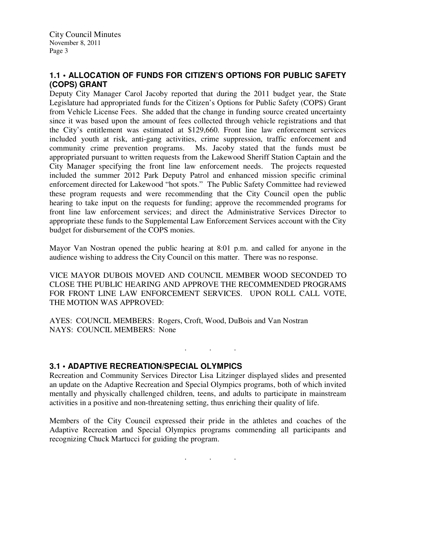# **1.1 • ALLOCATION OF FUNDS FOR CITIZEN'S OPTIONS FOR PUBLIC SAFETY (COPS) GRANT**

Deputy City Manager Carol Jacoby reported that during the 2011 budget year, the State Legislature had appropriated funds for the Citizen's Options for Public Safety (COPS) Grant from Vehicle License Fees. She added that the change in funding source created uncertainty since it was based upon the amount of fees collected through vehicle registrations and that the City's entitlement was estimated at \$129,660. Front line law enforcement services included youth at risk, anti-gang activities, crime suppression, traffic enforcement and community crime prevention programs. Ms. Jacoby stated that the funds must be appropriated pursuant to written requests from the Lakewood Sheriff Station Captain and the City Manager specifying the front line law enforcement needs. The projects requested included the summer 2012 Park Deputy Patrol and enhanced mission specific criminal enforcement directed for Lakewood "hot spots." The Public Safety Committee had reviewed these program requests and were recommending that the City Council open the public hearing to take input on the requests for funding; approve the recommended programs for front line law enforcement services; and direct the Administrative Services Director to appropriate these funds to the Supplemental Law Enforcement Services account with the City budget for disbursement of the COPS monies.

Mayor Van Nostran opened the public hearing at 8:01 p.m. and called for anyone in the audience wishing to address the City Council on this matter. There was no response.

VICE MAYOR DUBOIS MOVED AND COUNCIL MEMBER WOOD SECONDED TO CLOSE THE PUBLIC HEARING AND APPROVE THE RECOMMENDED PROGRAMS FOR FRONT LINE LAW ENFORCEMENT SERVICES. UPON ROLL CALL VOTE, THE MOTION WAS APPROVED:

AYES: COUNCIL MEMBERS: Rogers, Croft, Wood, DuBois and Van Nostran NAYS: COUNCIL MEMBERS: None

. . .

## **3.1 • ADAPTIVE RECREATION/SPECIAL OLYMPICS**

Recreation and Community Services Director Lisa Litzinger displayed slides and presented an update on the Adaptive Recreation and Special Olympics programs, both of which invited mentally and physically challenged children, teens, and adults to participate in mainstream activities in a positive and non-threatening setting, thus enriching their quality of life.

Members of the City Council expressed their pride in the athletes and coaches of the Adaptive Recreation and Special Olympics programs commending all participants and recognizing Chuck Martucci for guiding the program.

. . .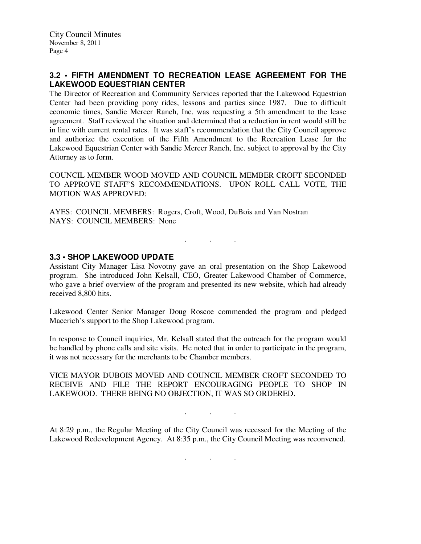# **3.2 • FIFTH AMENDMENT TO RECREATION LEASE AGREEMENT FOR THE LAKEWOOD EQUESTRIAN CENTER**

The Director of Recreation and Community Services reported that the Lakewood Equestrian Center had been providing pony rides, lessons and parties since 1987. Due to difficult economic times, Sandie Mercer Ranch, Inc. was requesting a 5th amendment to the lease agreement. Staff reviewed the situation and determined that a reduction in rent would still be in line with current rental rates. It was staff's recommendation that the City Council approve and authorize the execution of the Fifth Amendment to the Recreation Lease for the Lakewood Equestrian Center with Sandie Mercer Ranch, Inc. subject to approval by the City Attorney as to form.

COUNCIL MEMBER WOOD MOVED AND COUNCIL MEMBER CROFT SECONDED TO APPROVE STAFF'S RECOMMENDATIONS. UPON ROLL CALL VOTE, THE MOTION WAS APPROVED:

AYES: COUNCIL MEMBERS: Rogers, Croft, Wood, DuBois and Van Nostran NAYS: COUNCIL MEMBERS: None

## **3.3 • SHOP LAKEWOOD UPDATE**

Assistant City Manager Lisa Novotny gave an oral presentation on the Shop Lakewood program. She introduced John Kelsall, CEO, Greater Lakewood Chamber of Commerce, who gave a brief overview of the program and presented its new website, which had already received 8,800 hits.

. . .

Lakewood Center Senior Manager Doug Roscoe commended the program and pledged Macerich's support to the Shop Lakewood program.

In response to Council inquiries, Mr. Kelsall stated that the outreach for the program would be handled by phone calls and site visits. He noted that in order to participate in the program, it was not necessary for the merchants to be Chamber members.

VICE MAYOR DUBOIS MOVED AND COUNCIL MEMBER CROFT SECONDED TO RECEIVE AND FILE THE REPORT ENCOURAGING PEOPLE TO SHOP IN LAKEWOOD. THERE BEING NO OBJECTION, IT WAS SO ORDERED.

At 8:29 p.m., the Regular Meeting of the City Council was recessed for the Meeting of the Lakewood Redevelopment Agency. At 8:35 p.m., the City Council Meeting was reconvened.

. . .

. . .